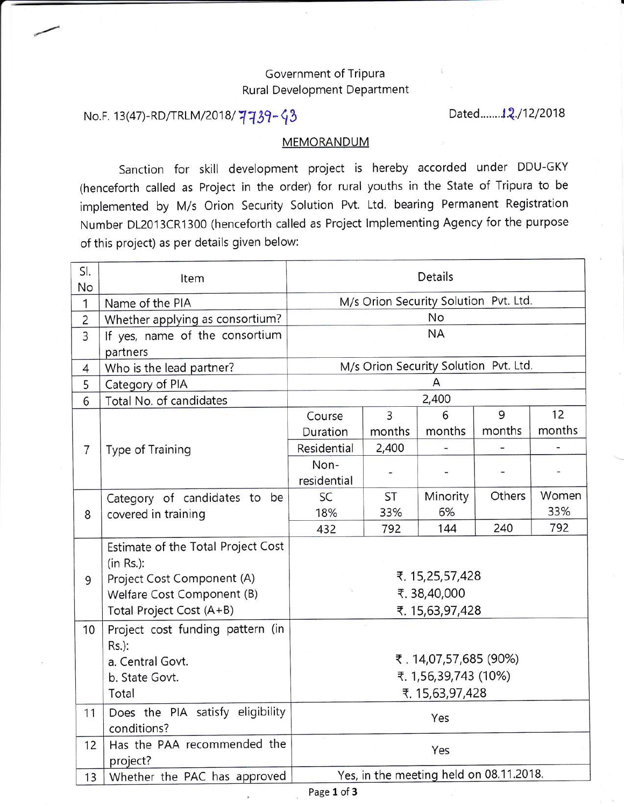## Government of Tripura Rural Development Department

## No.F. 13(47)-RD/TRLM/2018/  $7739 - 93$

Dated........**1.2**./12/2018

## MEMORANDUM

Sanction for skill development project is hereby accorded under DDU-GKY (henceforth called as Project in the order) for rural youths in the State of Tripura to be implemented by M/s Orion Security Solution Pvt. Ltd. bearing Permanent Registration Number D12013CR1300 (henceforth called as Project lmplementing Agency for the purpose of this project) as per details given below:

| SI.<br>No      | Item                                    | <b>Details</b>                                    |                |           |        |                |
|----------------|-----------------------------------------|---------------------------------------------------|----------------|-----------|--------|----------------|
| 1              | Name of the PIA                         | M/s Orion Security Solution Pvt. Ltd.             |                |           |        |                |
| $\overline{2}$ | Whether applying as consortium?         | No                                                |                |           |        |                |
| $\overline{3}$ | If yes, name of the consortium          |                                                   |                | <b>NA</b> |        |                |
|                | partners                                |                                                   |                |           |        |                |
| 4              | Who is the lead partner?                | M/s Orion Security Solution Pvt. Ltd.             |                |           |        |                |
| 5              | Category of PIA                         | A                                                 |                |           |        |                |
| 6              | Total No. of candidates                 | 2,400                                             |                |           |        |                |
|                |                                         | Course                                            | $\overline{3}$ | 6         | 9      | 12             |
| $\overline{7}$ | Type of Training                        | Duration                                          | months         | months    | months | months         |
|                |                                         | Residential                                       | 2,400          |           |        | $\overline{a}$ |
|                |                                         | Non-                                              |                |           |        |                |
|                |                                         | residential                                       |                |           |        |                |
|                | Category of candidates to be            | SC                                                | <b>ST</b>      | Minority  | Others | Women          |
| 8              | covered in training                     | 18%                                               | 33%            | 6%        |        | 33%            |
|                |                                         | 432                                               | 792            | 144       | 240    | 792            |
|                | Estimate of the Total Project Cost      |                                                   |                |           |        |                |
|                | $(in Rs.)$ :                            | ₹. 15,25,57,428<br>₹.38,40,000<br>₹. 15,63,97,428 |                |           |        |                |
| 9              | Project Cost Component (A)              |                                                   |                |           |        |                |
|                | Welfare Cost Component (B)              |                                                   |                |           |        |                |
|                | Total Project Cost (A+B)                |                                                   |                |           |        |                |
| 10             | Project cost funding pattern (in        |                                                   |                |           |        |                |
|                | Rs.):                                   |                                                   |                |           |        |                |
|                | a. Central Govt.                        | ₹.14,07,57,685 (90%)                              |                |           |        |                |
|                | ₹. 1,56,39,743 (10%)<br>b. State Govt.  |                                                   |                |           |        |                |
|                | Total                                   | ₹. 15,63,97,428                                   |                |           |        |                |
| 11             | Does the PIA satisfy eligibility        | Yes                                               |                |           |        |                |
|                | conditions?                             |                                                   |                |           |        |                |
| 12             | Has the PAA recommended the<br>project? | Yes                                               |                |           |        |                |
| 13             | Whether the PAC has approved            | Yes, in the meeting held on 08.11.2018.           |                |           |        |                |
|                |                                         |                                                   |                |           |        |                |

Page 1 of 3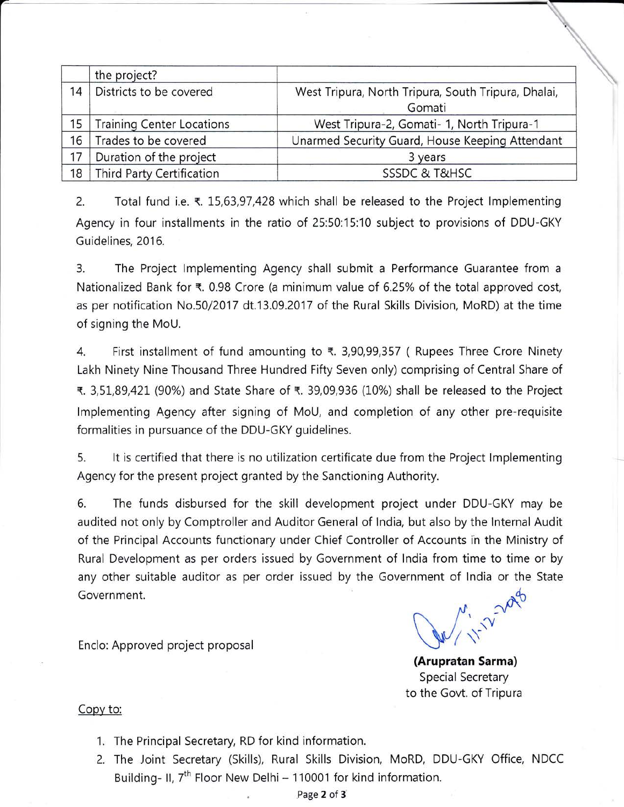|    | the project?                     |                                                               |
|----|----------------------------------|---------------------------------------------------------------|
| 14 | Districts to be covered          | West Tripura, North Tripura, South Tripura, Dhalai,<br>Gomati |
| 15 | <b>Training Center Locations</b> | West Tripura-2, Gomati- 1, North Tripura-1                    |
| 16 | Trades to be covered             | Unarmed Security Guard, House Keeping Attendant               |
| 17 | Duration of the project          | 3 years                                                       |
| 18 | <b>Third Party Certification</b> | <b>SSSDC &amp; T&amp;HSC</b>                                  |

2. Total fund i.e.  $\overline{\epsilon}$ . 15,63,97,428 which shall be released to the Project Implementing Agency in four installments in the ratio of 25:50:15:10 subject to provisions of DDU-GKY Guidelines, 2016.

3. The Project lmplementing Agency shall submit a Performance Guarantee from <sup>a</sup> Nationalized Bank for  $\bar{\tau}$ . 0.98 Crore (a minimum value of 6.25% of the total approved cost, as per notification No.50/2017 dt.13.09.2017 of the Rural Skills Division, MoRD) at the time of signing the MoU.

4. First installment of fund amounting to  $\overline{x}$ . 3,90,99,357 ( Rupees Three Crore Ninety Lakh Ninety Nine Thousand Three Hundred Fifty Seven only) comprising of Central Share of ₹. 3,51,89,421 (90%) and State Share of ₹. 39,09,936 (10%) shall be released to the Project lmplementing Agency after signing of MoU, and completion of any other pre-requisite formalities in pursuance of the DDU-GKY guidelines.

5. lt is certified that there is no utilization certificate due from the Project lmplementing Agency for the present project granted by the Sanctioning Authority.

6, The funds disbursed for the skill development project under DDU-GKY may be audited not only by Comptroller and Auditor General of lndia, but also by the lnternal Audit of the Principal Accounts functionary under Chief Controller of Accounts in the Ministry of Rural Development as per orders issued by Government of lndia from time to time or by any other suitable auditor as per order issued by the Government of lndia or the State Government.<br>Encloister and the state of the state of the state of the state of the state of the state of the state of the state of the state of the state of the state of the state of the state of the state of the state of

(Arupratan Sarma) Special Secretary to the Govt. of Tripura

## Copy to:

Enclo: Approved project proposal

- 1. The Principal Secretary, RD for kind information.
- 2. The Joint Secretary (Skills), Rural Skills Division, MoRD, DDU-GKY Office, NDCC Building- II,  $7<sup>th</sup>$  Floor New Delhi - 110001 for kind information.